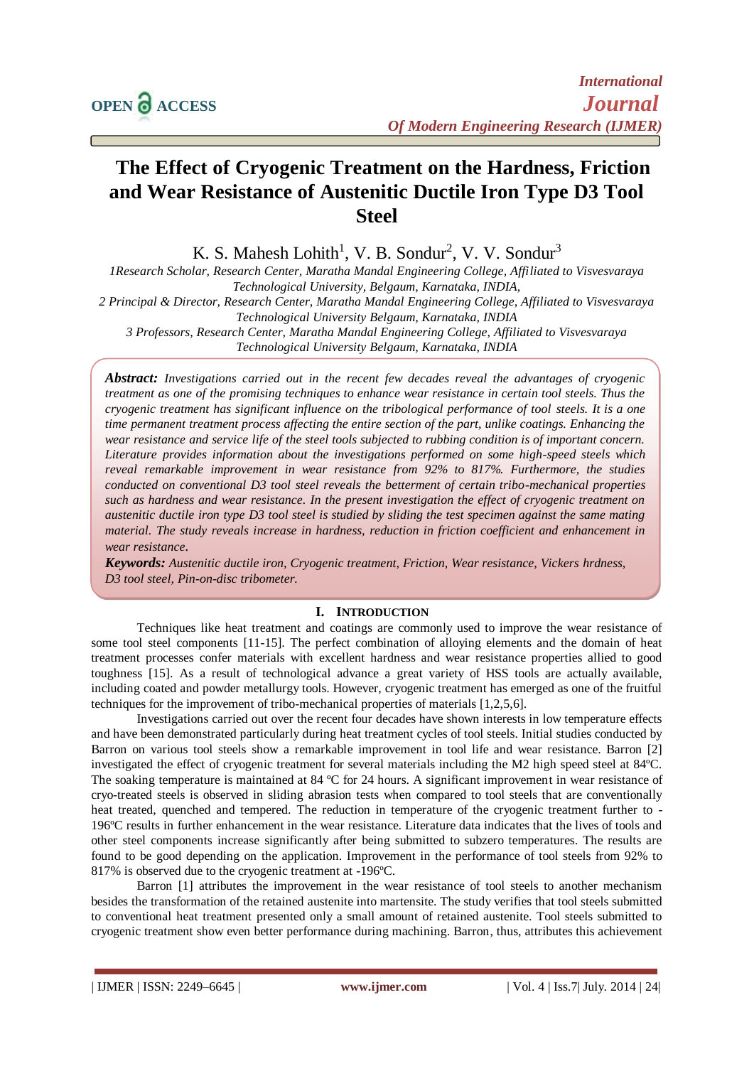# **The Effect of Cryogenic Treatment on the Hardness, Friction and Wear Resistance of Austenitic Ductile Iron Type D3 Tool Steel**

K. S. Mahesh Lohith<sup>1</sup>, V. B. Sondur<sup>2</sup>, V. V. Sondur<sup>3</sup>

*1Research Scholar, Research Center, Maratha Mandal Engineering College, Affiliated to Visvesvaraya Technological University, Belgaum, Karnataka, INDIA,* 

*2 Principal & Director, Research Center, Maratha Mandal Engineering College, Affiliated to Visvesvaraya Technological University Belgaum, Karnataka, INDIA*

*3 Professors, Research Center, Maratha Mandal Engineering College, Affiliated to Visvesvaraya Technological University Belgaum, Karnataka, INDIA*

*Abstract: Investigations carried out in the recent few decades reveal the advantages of cryogenic treatment as one of the promising techniques to enhance wear resistance in certain tool steels. Thus the cryogenic treatment has significant influence on the tribological performance of tool steels. It is a one time permanent treatment process affecting the entire section of the part, unlike coatings. Enhancing the wear resistance and service life of the steel tools subjected to rubbing condition is of important concern. Literature provides information about the investigations performed on some high-speed steels which reveal remarkable improvement in wear resistance from 92% to 817%. Furthermore, the studies conducted on conventional D3 tool steel reveals the betterment of certain tribo-mechanical properties such as hardness and wear resistance. In the present investigation the effect of cryogenic treatment on austenitic ductile iron type D3 tool steel is studied by sliding the test specimen against the same mating material. The study reveals increase in hardness, reduction in friction coefficient and enhancement in wear resistance.*

*Keywords: Austenitic ductile iron, Cryogenic treatment, Friction, Wear resistance, Vickers hrdness, D3 tool steel, Pin-on-disc tribometer.*

#### **I. INTRODUCTION**

Techniques like heat treatment and coatings are commonly used to improve the wear resistance of some tool steel components [11-15]. The perfect combination of alloying elements and the domain of heat treatment processes confer materials with excellent hardness and wear resistance properties allied to good toughness [15]. As a result of technological advance a great variety of HSS tools are actually available, including coated and powder metallurgy tools. However, cryogenic treatment has emerged as one of the fruitful techniques for the improvement of tribo-mechanical properties of materials [1,2,5,6].

Investigations carried out over the recent four decades have shown interests in low temperature effects and have been demonstrated particularly during heat treatment cycles of tool steels. Initial studies conducted by Barron on various tool steels show a remarkable improvement in tool life and wear resistance. Barron [2] investigated the effect of cryogenic treatment for several materials including the M2 high speed steel at 84ºC. The soaking temperature is maintained at 84 ºC for 24 hours. A significant improvement in wear resistance of cryo-treated steels is observed in sliding abrasion tests when compared to tool steels that are conventionally heat treated, quenched and tempered. The reduction in temperature of the cryogenic treatment further to -196ºC results in further enhancement in the wear resistance. Literature data indicates that the lives of tools and other steel components increase significantly after being submitted to subzero temperatures. The results are found to be good depending on the application. Improvement in the performance of tool steels from 92% to 817% is observed due to the cryogenic treatment at -196ºC.

Barron [1] attributes the improvement in the wear resistance of tool steels to another mechanism besides the transformation of the retained austenite into martensite. The study verifies that tool steels submitted to conventional heat treatment presented only a small amount of retained austenite. Tool steels submitted to cryogenic treatment show even better performance during machining. Barron, thus, attributes this achievement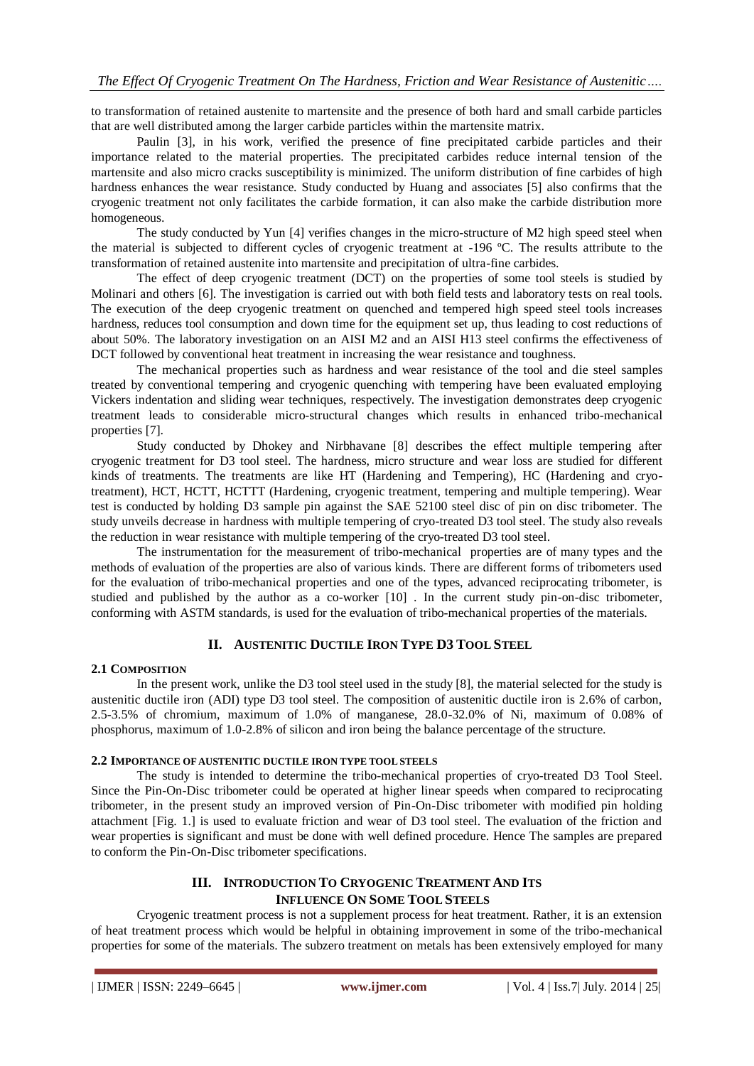to transformation of retained austenite to martensite and the presence of both hard and small carbide particles that are well distributed among the larger carbide particles within the martensite matrix.

Paulin [3], in his work, verified the presence of fine precipitated carbide particles and their importance related to the material properties. The precipitated carbides reduce internal tension of the martensite and also micro cracks susceptibility is minimized. The uniform distribution of fine carbides of high hardness enhances the wear resistance. Study conducted by Huang and associates [5] also confirms that the cryogenic treatment not only facilitates the carbide formation, it can also make the carbide distribution more homogeneous.

The study conducted by Yun [4] verifies changes in the micro-structure of M2 high speed steel when the material is subjected to different cycles of cryogenic treatment at -196 ºC. The results attribute to the transformation of retained austenite into martensite and precipitation of ultra-fine carbides.

The effect of deep cryogenic treatment (DCT) on the properties of some tool steels is studied by Molinari and others [6]. The investigation is carried out with both field tests and laboratory tests on real tools. The execution of the deep cryogenic treatment on quenched and tempered high speed steel tools increases hardness, reduces tool consumption and down time for the equipment set up, thus leading to cost reductions of about 50%. The laboratory investigation on an AISI M2 and an AISI H13 steel confirms the effectiveness of DCT followed by conventional heat treatment in increasing the wear resistance and toughness.

The mechanical properties such as hardness and wear resistance of the tool and die steel samples treated by conventional tempering and cryogenic quenching with tempering have been evaluated employing Vickers indentation and sliding wear techniques, respectively. The investigation demonstrates deep cryogenic treatment leads to considerable micro-structural changes which results in enhanced tribo-mechanical properties [7].

Study conducted by Dhokey and Nirbhavane [8] describes the effect multiple tempering after cryogenic treatment for D3 tool steel. The hardness, micro structure and wear loss are studied for different kinds of treatments. The treatments are like HT (Hardening and Tempering), HC (Hardening and cryotreatment), HCT, HCTT, HCTTT (Hardening, cryogenic treatment, tempering and multiple tempering). Wear test is conducted by holding D3 sample pin against the SAE 52100 steel disc of pin on disc tribometer. The study unveils decrease in hardness with multiple tempering of cryo-treated D3 tool steel. The study also reveals the reduction in wear resistance with multiple tempering of the cryo-treated D3 tool steel.

The instrumentation for the measurement of tribo-mechanical properties are of many types and the methods of evaluation of the properties are also of various kinds. There are different forms of tribometers used for the evaluation of tribo-mechanical properties and one of the types, advanced reciprocating tribometer, is studied and published by the author as a co-worker [10] . In the current study pin-on-disc tribometer, conforming with ASTM standards, is used for the evaluation of tribo-mechanical properties of the materials.

# **II. AUSTENITIC DUCTILE IRON TYPE D3 TOOL STEEL**

## **2.1 COMPOSITION**

In the present work, unlike the D3 tool steel used in the study [8], the material selected for the study is austenitic ductile iron (ADI) type D3 tool steel. The composition of austenitic ductile iron is 2.6% of carbon, 2.5-3.5% of chromium, maximum of 1.0% of manganese, 28.0-32.0% of Ni, maximum of 0.08% of phosphorus, maximum of 1.0-2.8% of silicon and iron being the balance percentage of the structure.

## **2.2 IMPORTANCE OF AUSTENITIC DUCTILE IRON TYPE TOOL STEELS**

The study is intended to determine the tribo-mechanical properties of cryo-treated D3 Tool Steel. Since the Pin-On-Disc tribometer could be operated at higher linear speeds when compared to reciprocating tribometer, in the present study an improved version of Pin-On-Disc tribometer with modified pin holding attachment [Fig. 1.] is used to evaluate friction and wear of D3 tool steel. The evaluation of the friction and wear properties is significant and must be done with well defined procedure. Hence The samples are prepared to conform the Pin-On-Disc tribometer specifications.

# **III. INTRODUCTION TO CRYOGENIC TREATMENT AND ITS INFLUENCE ON SOME TOOL STEELS**

Cryogenic treatment process is not a supplement process for heat treatment. Rather, it is an extension of heat treatment process which would be helpful in obtaining improvement in some of the tribo-mechanical properties for some of the materials. The subzero treatment on metals has been extensively employed for many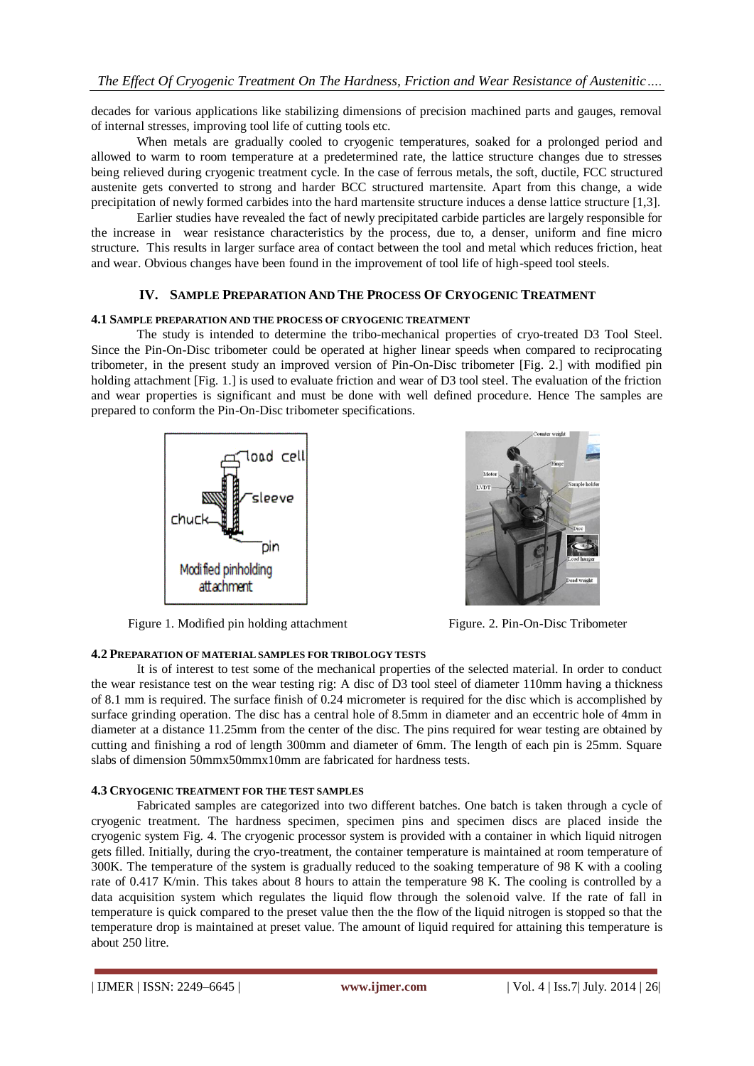decades for various applications like stabilizing dimensions of precision machined parts and gauges, removal of internal stresses, improving tool life of cutting tools etc.

When metals are gradually cooled to cryogenic temperatures, soaked for a prolonged period and allowed to warm to room temperature at a predetermined rate, the lattice structure changes due to stresses being relieved during cryogenic treatment cycle. In the case of ferrous metals, the soft, ductile, FCC structured austenite gets converted to strong and harder BCC structured martensite. Apart from this change, a wide precipitation of newly formed carbides into the hard martensite structure induces a dense lattice structure [1,3].

Earlier studies have revealed the fact of newly precipitated carbide particles are largely responsible for the increase in wear resistance characteristics by the process, due to, a denser, uniform and fine micro structure. This results in larger surface area of contact between the tool and metal which reduces friction, heat and wear. Obvious changes have been found in the improvement of tool life of high-speed tool steels.

## **IV. SAMPLE PREPARATION AND THE PROCESS OF CRYOGENIC TREATMENT**

#### **4.1 SAMPLE PREPARATION AND THE PROCESS OF CRYOGENIC TREATMENT**

The study is intended to determine the tribo-mechanical properties of cryo-treated D3 Tool Steel. Since the Pin-On-Disc tribometer could be operated at higher linear speeds when compared to reciprocating tribometer, in the present study an improved version of Pin-On-Disc tribometer [Fig. 2.] with modified pin holding attachment [Fig. 1.] is used to evaluate friction and wear of D3 tool steel. The evaluation of the friction and wear properties is significant and must be done with well defined procedure. Hence The samples are prepared to conform the Pin-On-Disc tribometer specifications.



Figure 1. Modified pin holding attachment Figure. 2. Pin-On-Disc Tribometer



# **4.2 PREPARATION OF MATERIAL SAMPLES FOR TRIBOLOGY TESTS**

It is of interest to test some of the mechanical properties of the selected material. In order to conduct the wear resistance test on the wear testing rig: A disc of D3 tool steel of diameter 110mm having a thickness of 8.1 mm is required. The surface finish of 0.24 micrometer is required for the disc which is accomplished by surface grinding operation. The disc has a central hole of 8.5mm in diameter and an eccentric hole of 4mm in diameter at a distance 11.25mm from the center of the disc. The pins required for wear testing are obtained by cutting and finishing a rod of length 300mm and diameter of 6mm. The length of each pin is 25mm. Square slabs of dimension 50mmx50mmx10mm are fabricated for hardness tests.

#### **4.3 CRYOGENIC TREATMENT FOR THE TEST SAMPLES**

Fabricated samples are categorized into two different batches. One batch is taken through a cycle of cryogenic treatment. The hardness specimen, specimen pins and specimen discs are placed inside the cryogenic system Fig. 4. The cryogenic processor system is provided with a container in which liquid nitrogen gets filled. Initially, during the cryo-treatment, the container temperature is maintained at room temperature of 300K. The temperature of the system is gradually reduced to the soaking temperature of 98 K with a cooling rate of 0.417 K/min. This takes about 8 hours to attain the temperature 98 K. The cooling is controlled by a data acquisition system which regulates the liquid flow through the solenoid valve. If the rate of fall in temperature is quick compared to the preset value then the the flow of the liquid nitrogen is stopped so that the temperature drop is maintained at preset value. The amount of liquid required for attaining this temperature is about 250 litre.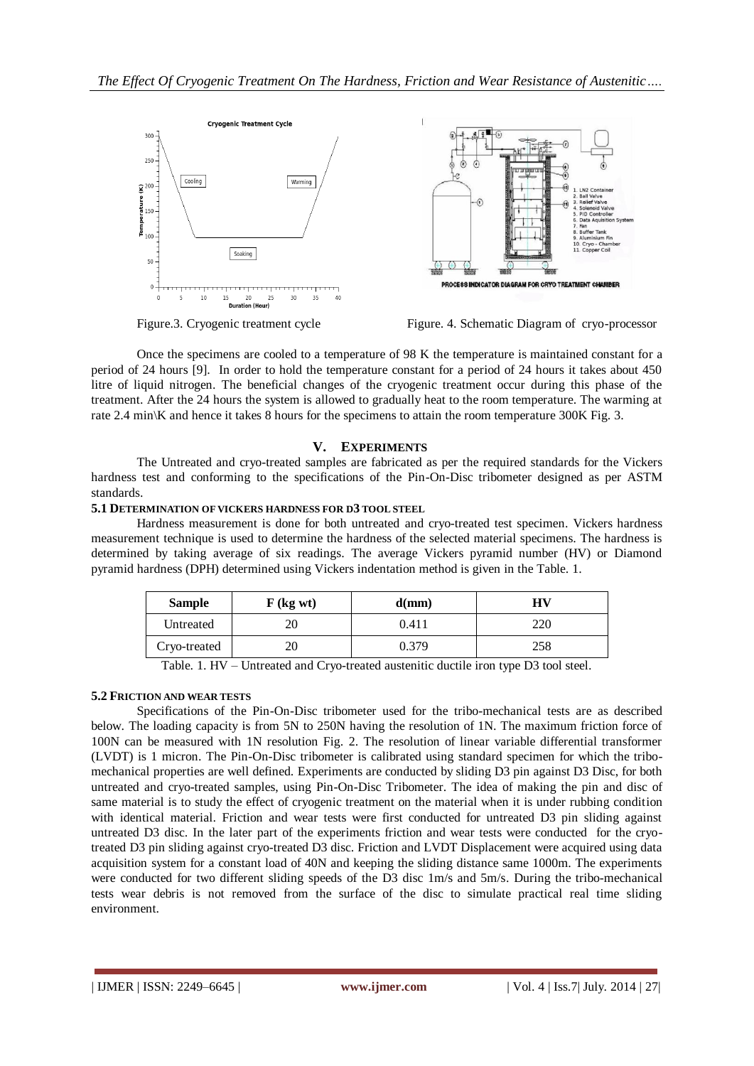



Once the specimens are cooled to a temperature of 98 K the temperature is maintained constant for a period of 24 hours [9]. In order to hold the temperature constant for a period of 24 hours it takes about 450 litre of liquid nitrogen. The beneficial changes of the cryogenic treatment occur during this phase of the treatment. After the 24 hours the system is allowed to gradually heat to the room temperature. The warming at rate 2.4 min\K and hence it takes 8 hours for the specimens to attain the room temperature 300K Fig. 3.

## **V. EXPERIMENTS**

The Untreated and cryo-treated samples are fabricated as per the required standards for the Vickers hardness test and conforming to the specifications of the Pin-On-Disc tribometer designed as per ASTM standards.

## **5.1 DETERMINATION OF VICKERS HARDNESS FOR D3 TOOL STEEL**

Hardness measurement is done for both untreated and cryo-treated test specimen. Vickers hardness measurement technique is used to determine the hardness of the selected material specimens. The hardness is determined by taking average of six readings. The average Vickers pyramid number (HV) or Diamond pyramid hardness (DPH) determined using Vickers indentation method is given in the Table. 1.

| <b>Sample</b> | $F$ (kg wt) | d(mm) | НV  |
|---------------|-------------|-------|-----|
| Untreated     |             | 0.411 | 220 |
| Cryo-treated  |             | 0.379 | 258 |

Table. 1. HV – Untreated and Cryo-treated austenitic ductile iron type D3 tool steel.

## **5.2 FRICTION AND WEAR TESTS**

Specifications of the Pin-On-Disc tribometer used for the tribo-mechanical tests are as described below. The loading capacity is from 5N to 250N having the resolution of 1N. The maximum friction force of 100N can be measured with 1N resolution Fig. 2. The resolution of linear variable differential transformer (LVDT) is 1 micron. The Pin-On-Disc tribometer is calibrated using standard specimen for which the tribomechanical properties are well defined. Experiments are conducted by sliding D3 pin against D3 Disc, for both untreated and cryo-treated samples, using Pin-On-Disc Tribometer. The idea of making the pin and disc of same material is to study the effect of cryogenic treatment on the material when it is under rubbing condition with identical material. Friction and wear tests were first conducted for untreated D3 pin sliding against untreated D3 disc. In the later part of the experiments friction and wear tests were conducted for the cryotreated D3 pin sliding against cryo-treated D3 disc. Friction and LVDT Displacement were acquired using data acquisition system for a constant load of 40N and keeping the sliding distance same 1000m. The experiments were conducted for two different sliding speeds of the D3 disc 1m/s and 5m/s. During the tribo-mechanical tests wear debris is not removed from the surface of the disc to simulate practical real time sliding environment.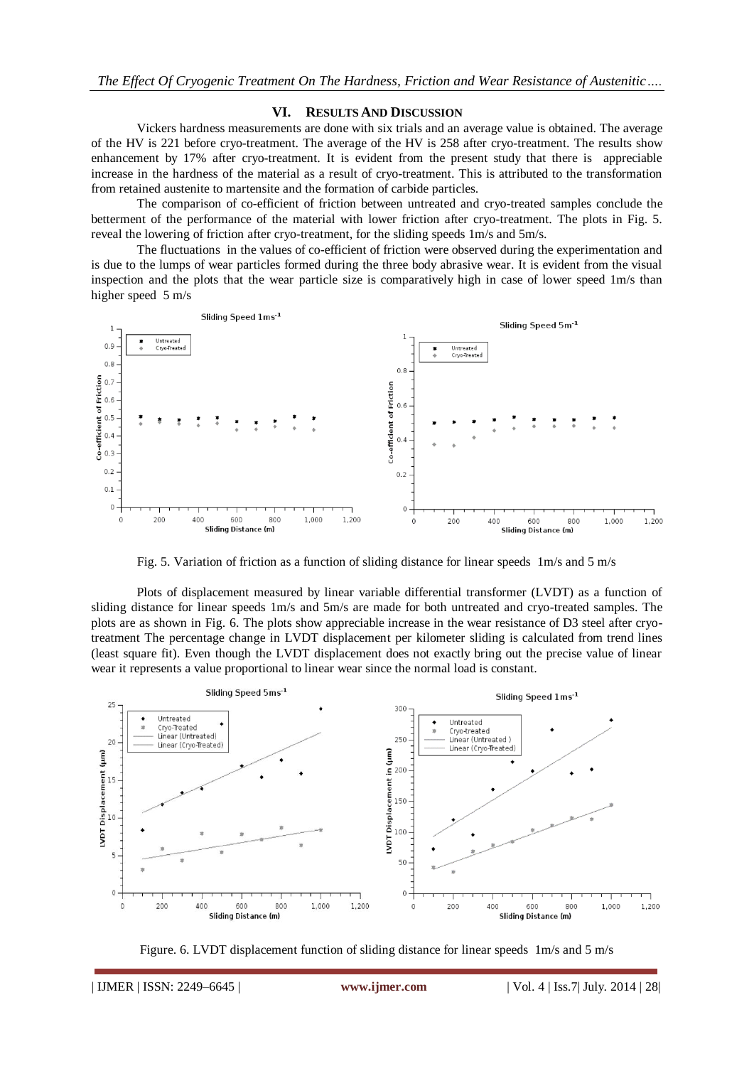#### **VI. RESULTS AND DISCUSSION**

Vickers hardness measurements are done with six trials and an average value is obtained. The average of the HV is 221 before cryo-treatment. The average of the HV is 258 after cryo-treatment. The results show enhancement by 17% after cryo-treatment. It is evident from the present study that there is appreciable increase in the hardness of the material as a result of cryo-treatment. This is attributed to the transformation from retained austenite to martensite and the formation of carbide particles.

The comparison of co-efficient of friction between untreated and cryo-treated samples conclude the betterment of the performance of the material with lower friction after cryo-treatment. The plots in Fig. 5. reveal the lowering of friction after cryo-treatment, for the sliding speeds 1m/s and 5m/s.

The fluctuations in the values of co-efficient of friction were observed during the experimentation and is due to the lumps of wear particles formed during the three body abrasive wear. It is evident from the visual inspection and the plots that the wear particle size is comparatively high in case of lower speed 1m/s than higher speed 5 m/s



Fig. 5. Variation of friction as a function of sliding distance for linear speeds 1m/s and 5 m/s

Plots of displacement measured by linear variable differential transformer (LVDT) as a function of sliding distance for linear speeds 1m/s and 5m/s are made for both untreated and cryo-treated samples. The plots are as shown in Fig. 6. The plots show appreciable increase in the wear resistance of D3 steel after cryotreatment The percentage change in LVDT displacement per kilometer sliding is calculated from trend lines (least square fit). Even though the LVDT displacement does not exactly bring out the precise value of linear wear it represents a value proportional to linear wear since the normal load is constant.



Figure. 6. LVDT displacement function of sliding distance for linear speeds 1m/s and 5 m/s